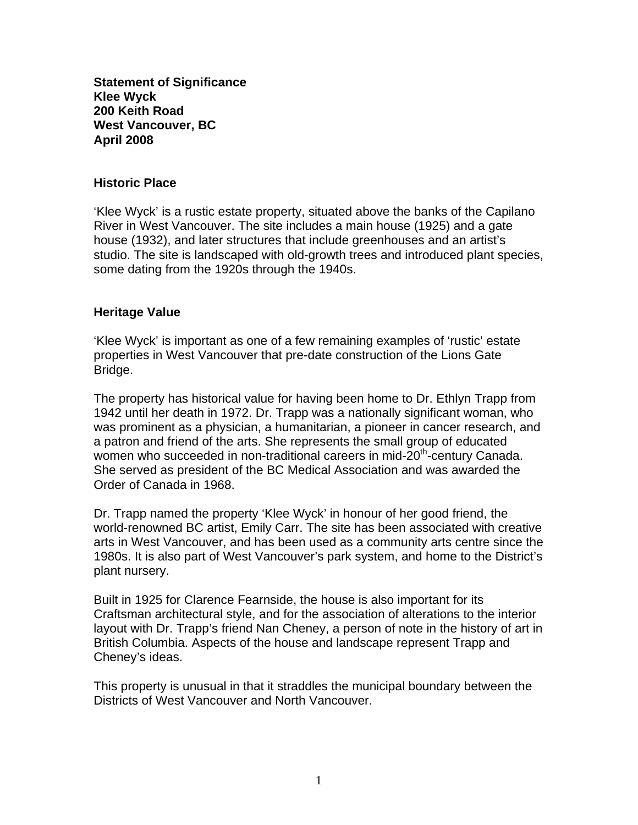**Statement of Significance Klee Wyck 200 Keith Road West Vancouver, BC April 2008** 

## **Historic Place**

'Klee Wyck' is a rustic estate property, situated above the banks of the Capilano River in West Vancouver. The site includes a main house (1925) and a gate house (1932), and later structures that include greenhouses and an artist's studio. The site is landscaped with old-growth trees and introduced plant species, some dating from the 1920s through the 1940s.

## **Heritage Value**

'Klee Wyck' is important as one of a few remaining examples of 'rustic' estate properties in West Vancouver that pre-date construction of the Lions Gate Bridge.

The property has historical value for having been home to Dr. Ethlyn Trapp from 1942 until her death in 1972. Dr. Trapp was a nationally significant woman, who was prominent as a physician, a humanitarian, a pioneer in cancer research, and a patron and friend of the arts. She represents the small group of educated women who succeeded in non-traditional careers in mid-20<sup>th</sup>-century Canada. She served as president of the BC Medical Association and was awarded the Order of Canada in 1968.

Dr. Trapp named the property 'Klee Wyck' in honour of her good friend, the world-renowned BC artist, Emily Carr. The site has been associated with creative arts in West Vancouver, and has been used as a community arts centre since the 1980s. It is also part of West Vancouver's park system, and home to the District's plant nursery.

Built in 1925 for Clarence Fearnside, the house is also important for its Craftsman architectural style, and for the association of alterations to the interior layout with Dr. Trapp's friend Nan Cheney, a person of note in the history of art in British Columbia. Aspects of the house and landscape represent Trapp and Cheney's ideas.

This property is unusual in that it straddles the municipal boundary between the Districts of West Vancouver and North Vancouver.